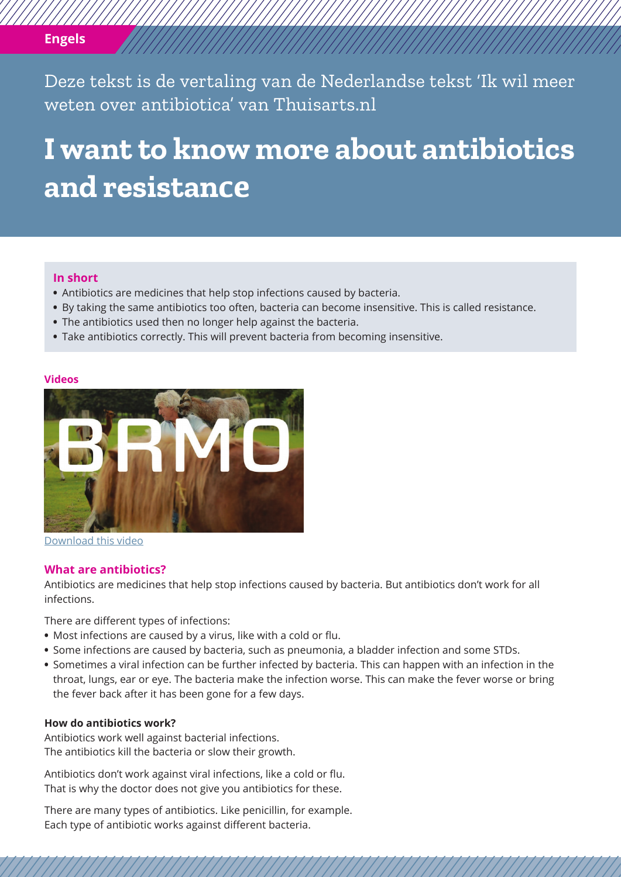## **Engels**

Deze tekst is de vertaling van de Nederlandse tekst 'Ik wil meer weten over antibiotica' van Thuisarts.nl

# **I want to know more about antibiotics and resistance**

#### **In short**

- **•** Antibiotics are medicines that help stop infections caused by bacteria.
- **•** By taking the same antibiotics too often, bacteria can become insensitive. This is called resistance.
- **•** The antibiotics used then no longer help against the bacteria.
- **•** Take antibiotics correctly. This will prevent bacteria from becoming insensitive.

#### **Videos**



[Download this video](https://www.thuisarts.nl/antibiotica/ik-wil-meer-weten-over-antibiotica-en-resistentie)

#### **What are antibiotics?**

Antibiotics are medicines that help stop infections caused by bacteria. But antibiotics don't work for all infections.

There are different types of infections:

- **•** Most infections are caused by a virus, like with a cold or flu.
- **•** Some infections are caused by bacteria, such as pneumonia, a bladder infection and some STDs.
- **•** Sometimes a viral infection can be further infected by bacteria. This can happen with an infection in the throat, lungs, ear or eye. The bacteria make the infection worse. This can make the fever worse or bring the fever back after it has been gone for a few days.

### **How do antibiotics work?**

Antibiotics work well against bacterial infections. The antibiotics kill the bacteria or slow their growth.

Antibiotics don't work against viral infections, like a cold or flu. That is why the doctor does not give you antibiotics for these.

There are many types of antibiotics. Like penicillin, for example. Each type of antibiotic works against different bacteria.